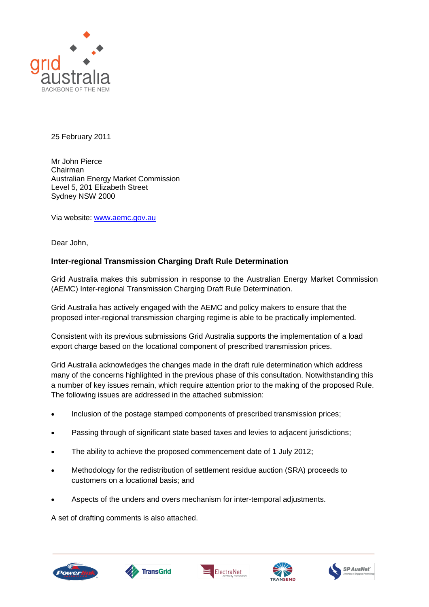

25 February 2011

Mr John Pierce Chairman Australian Energy Market Commission Level 5, 201 Elizabeth Street Sydney NSW 2000

Via website: [www.aemc.gov.au](http://www.aemc.gov.au/)

Dear John,

# **Inter-regional Transmission Charging Draft Rule Determination**

Grid Australia makes this submission in response to the Australian Energy Market Commission (AEMC) Inter-regional Transmission Charging Draft Rule Determination.

Grid Australia has actively engaged with the AEMC and policy makers to ensure that the proposed inter-regional transmission charging regime is able to be practically implemented.

Consistent with its previous submissions Grid Australia supports the implementation of a load export charge based on the locational component of prescribed transmission prices.

Grid Australia acknowledges the changes made in the draft rule determination which address many of the concerns highlighted in the previous phase of this consultation. Notwithstanding this a number of key issues remain, which require attention prior to the making of the proposed Rule. The following issues are addressed in the attached submission:

- Inclusion of the postage stamped components of prescribed transmission prices;
- Passing through of significant state based taxes and levies to adjacent jurisdictions;
- The ability to achieve the proposed commencement date of 1 July 2012;
- Methodology for the redistribution of settlement residue auction (SRA) proceeds to customers on a locational basis; and
- Aspects of the unders and overs mechanism for inter-temporal adjustments.

A set of drafting comments is also attached.









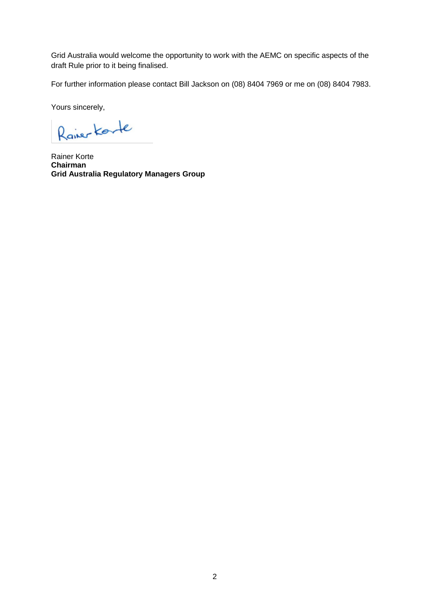Grid Australia would welcome the opportunity to work with the AEMC on specific aspects of the draft Rule prior to it being finalised.

For further information please contact Bill Jackson on (08) 8404 7969 or me on (08) 8404 7983.

Yours sincerely,

Raiser Korte

Rainer Korte **Chairman Grid Australia Regulatory Managers Group**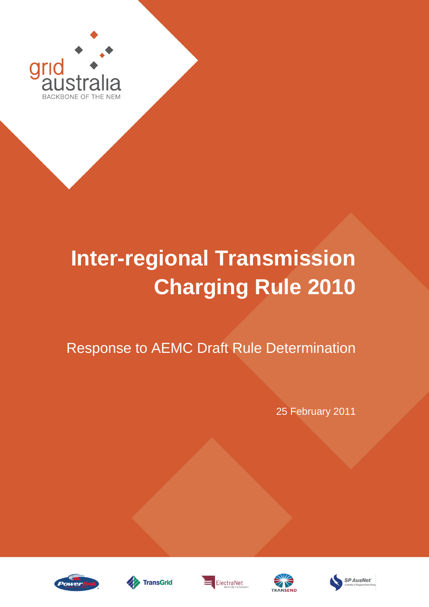

# **Inter-regional Transmission Charging Rule 2010**

Response to AEMC Draft Rule Determination

25 February 2011









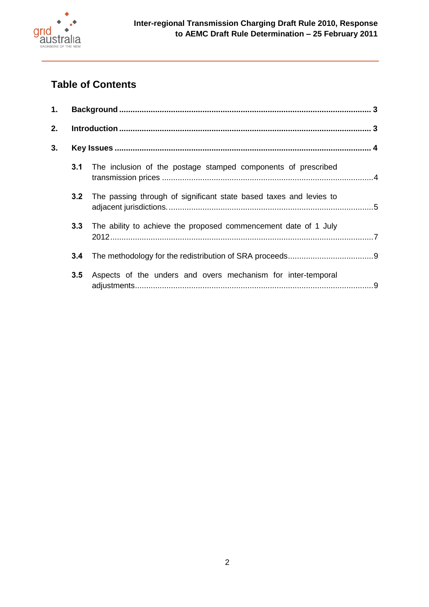

# **Table of Contents**

| 1. |     |                                                                    |  |
|----|-----|--------------------------------------------------------------------|--|
| 2. |     |                                                                    |  |
| 3. |     |                                                                    |  |
|    | 3.1 | The inclusion of the postage stamped components of prescribed      |  |
|    | 3.2 | The passing through of significant state based taxes and levies to |  |
|    | 3.3 | The ability to achieve the proposed commencement date of 1 July    |  |
|    | 3.4 |                                                                    |  |
|    | 3.5 | Aspects of the unders and overs mechanism for inter-temporal       |  |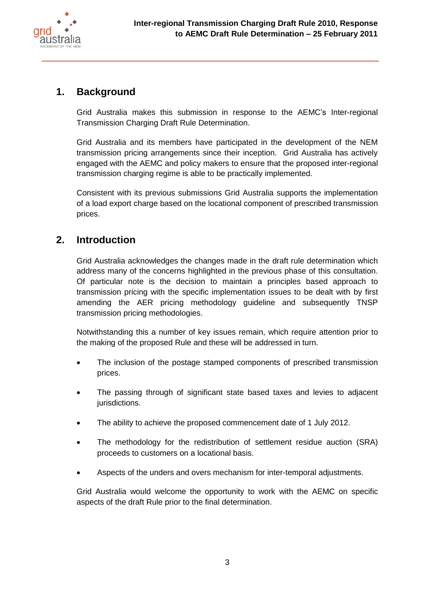

# <span id="page-4-0"></span>**1. Background**

Grid Australia makes this submission in response to the AEMC's Inter-regional Transmission Charging Draft Rule Determination.

Grid Australia and its members have participated in the development of the NEM transmission pricing arrangements since their inception. Grid Australia has actively engaged with the AEMC and policy makers to ensure that the proposed inter-regional transmission charging regime is able to be practically implemented.

Consistent with its previous submissions Grid Australia supports the implementation of a load export charge based on the locational component of prescribed transmission prices.

# <span id="page-4-1"></span>**2. Introduction**

Grid Australia acknowledges the changes made in the draft rule determination which address many of the concerns highlighted in the previous phase of this consultation. Of particular note is the decision to maintain a principles based approach to transmission pricing with the specific implementation issues to be dealt with by first amending the AER pricing methodology guideline and subsequently TNSP transmission pricing methodologies.

Notwithstanding this a number of key issues remain, which require attention prior to the making of the proposed Rule and these will be addressed in turn.

- The inclusion of the postage stamped components of prescribed transmission prices.
- The passing through of significant state based taxes and levies to adjacent jurisdictions.
- The ability to achieve the proposed commencement date of 1 July 2012.
- The methodology for the redistribution of settlement residue auction (SRA) proceeds to customers on a locational basis.
- Aspects of the unders and overs mechanism for inter-temporal adjustments.

Grid Australia would welcome the opportunity to work with the AEMC on specific aspects of the draft Rule prior to the final determination.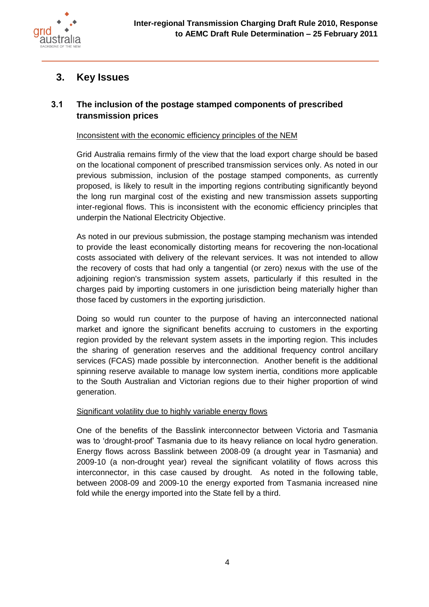

# <span id="page-5-0"></span>**3. Key Issues**

# <span id="page-5-1"></span>**3.1 The inclusion of the postage stamped components of prescribed transmission prices**

Inconsistent with the economic efficiency principles of the NEM

Grid Australia remains firmly of the view that the load export charge should be based on the locational component of prescribed transmission services only. As noted in our previous submission, inclusion of the postage stamped components, as currently proposed, is likely to result in the importing regions contributing significantly beyond the long run marginal cost of the existing and new transmission assets supporting inter-regional flows. This is inconsistent with the economic efficiency principles that underpin the National Electricity Objective.

As noted in our previous submission, the postage stamping mechanism was intended to provide the least economically distorting means for recovering the non-locational costs associated with delivery of the relevant services. It was not intended to allow the recovery of costs that had only a tangential (or zero) nexus with the use of the adjoining region's transmission system assets, particularly if this resulted in the charges paid by importing customers in one jurisdiction being materially higher than those faced by customers in the exporting jurisdiction.

Doing so would run counter to the purpose of having an interconnected national market and ignore the significant benefits accruing to customers in the exporting region provided by the relevant system assets in the importing region. This includes the sharing of generation reserves and the additional frequency control ancillary services (FCAS) made possible by interconnection. Another benefit is the additional spinning reserve available to manage low system inertia, conditions more applicable to the South Australian and Victorian regions due to their higher proportion of wind generation.

# Significant volatility due to highly variable energy flows

One of the benefits of the Basslink interconnector between Victoria and Tasmania was to 'drought-proof' Tasmania due to its heavy reliance on local hydro generation. Energy flows across Basslink between 2008-09 (a drought year in Tasmania) and 2009-10 (a non-drought year) reveal the significant volatility of flows across this interconnector, in this case caused by drought. As noted in the following table, between 2008-09 and 2009-10 the energy exported from Tasmania increased nine fold while the energy imported into the State fell by a third.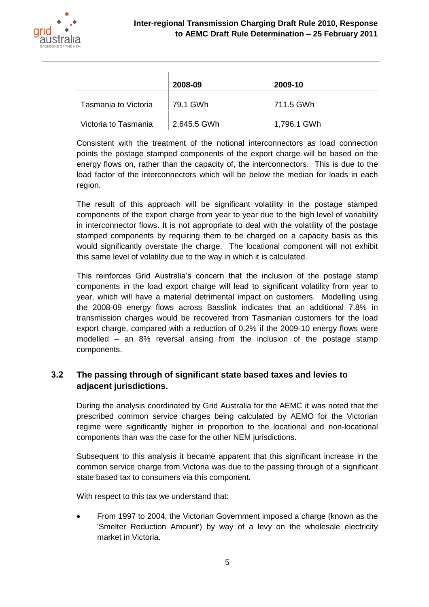

|                      | 2008-09     | 2009-10     |
|----------------------|-------------|-------------|
| Tasmania to Victoria | ∣ 79.1 GWh  | 711.5 GWh   |
| Victoria to Tasmania | 2,645.5 GWh | 1,796.1 GWh |

Consistent with the treatment of the notional interconnectors as load connection points the postage stamped components of the export charge will be based on the energy flows on, rather than the capacity of, the interconnectors. This is due to the load factor of the interconnectors which will be below the median for loads in each region.

The result of this approach will be significant volatility in the postage stamped components of the export charge from year to year due to the high level of variability in interconnector flows. It is not appropriate to deal with the volatility of the postage stamped components by requiring them to be charged on a capacity basis as this would significantly overstate the charge. The locational component will not exhibit this same level of volatility due to the way in which it is calculated.

This reinforces Grid Australia's concern that the inclusion of the postage stamp components in the load export charge will lead to significant volatility from year to year, which will have a material detrimental impact on customers. Modelling using the 2008-09 energy flows across Basslink indicates that an additional 7.8% in transmission charges would be recovered from Tasmanian customers for the load export charge, compared with a reduction of 0.2% if the 2009-10 energy flows were modelled – an 8% reversal arising from the inclusion of the postage stamp components.

# <span id="page-6-0"></span>**3.2 The passing through of significant state based taxes and levies to adjacent jurisdictions.**

During the analysis coordinated by Grid Australia for the AEMC it was noted that the prescribed common service charges being calculated by AEMO for the Victorian regime were significantly higher in proportion to the locational and non-locational components than was the case for the other NEM jurisdictions.

Subsequent to this analysis it became apparent that this significant increase in the common service charge from Victoria was due to the passing through of a significant state based tax to consumers via this component.

With respect to this tax we understand that:

• From 1997 to 2004, the Victorian Government imposed a charge (known as the 'Smelter Reduction Amount') by way of a levy on the wholesale electricity market in Victoria.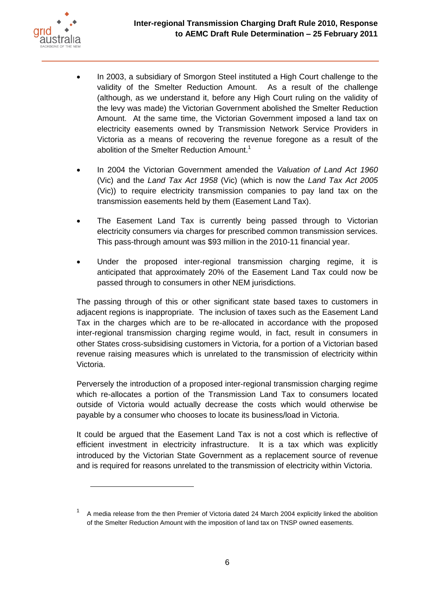

 $\overline{a}$ 

- In 2003, a subsidiary of Smorgon Steel instituted a High Court challenge to the validity of the Smelter Reduction Amount. As a result of the challenge (although, as we understand it, before any High Court ruling on the validity of the levy was made) the Victorian Government abolished the Smelter Reduction Amount. At the same time, the Victorian Government imposed a land tax on electricity easements owned by Transmission Network Service Providers in Victoria as a means of recovering the revenue foregone as a result of the abolition of the Smelter Reduction Amount.<sup>1</sup>
- In 2004 the Victorian Government amended the *Valuation of Land Act 1960* (Vic) and the *Land Tax Act 1958* (Vic) (which is now the *Land Tax Act 2005* (Vic)) to require electricity transmission companies to pay land tax on the transmission easements held by them (Easement Land Tax).
- The Easement Land Tax is currently being passed through to Victorian electricity consumers via charges for prescribed common transmission services. This pass-through amount was \$93 million in the 2010-11 financial year.
- Under the proposed inter-regional transmission charging regime, it is anticipated that approximately 20% of the Easement Land Tax could now be passed through to consumers in other NEM jurisdictions.

The passing through of this or other significant state based taxes to customers in adjacent regions is inappropriate. The inclusion of taxes such as the Easement Land Tax in the charges which are to be re-allocated in accordance with the proposed inter-regional transmission charging regime would, in fact, result in consumers in other States cross-subsidising customers in Victoria, for a portion of a Victorian based revenue raising measures which is unrelated to the transmission of electricity within Victoria.

Perversely the introduction of a proposed inter-regional transmission charging regime which re-allocates a portion of the Transmission Land Tax to consumers located outside of Victoria would actually decrease the costs which would otherwise be payable by a consumer who chooses to locate its business/load in Victoria.

It could be argued that the Easement Land Tax is not a cost which is reflective of efficient investment in electricity infrastructure. It is a tax which was explicitly introduced by the Victorian State Government as a replacement source of revenue and is required for reasons unrelated to the transmission of electricity within Victoria.

<sup>1</sup> A media release from the then Premier of Victoria dated 24 March 2004 explicitly linked the abolition of the Smelter Reduction Amount with the imposition of land tax on TNSP owned easements.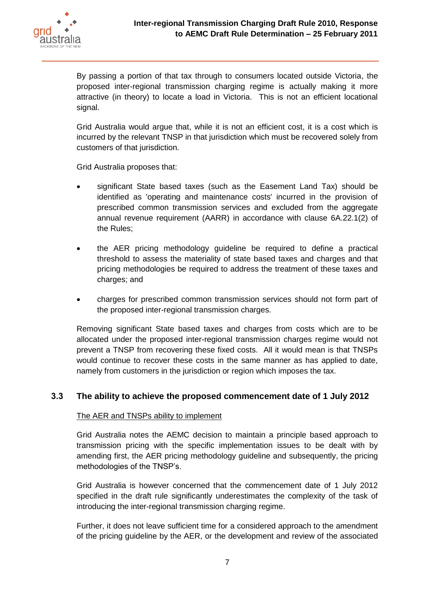

By passing a portion of that tax through to consumers located outside Victoria, the proposed inter-regional transmission charging regime is actually making it more attractive (in theory) to locate a load in Victoria. This is not an efficient locational signal.

Grid Australia would argue that, while it is not an efficient cost, it is a cost which is incurred by the relevant TNSP in that jurisdiction which must be recovered solely from customers of that jurisdiction.

Grid Australia proposes that:

- significant State based taxes (such as the Easement Land Tax) should be identified as 'operating and maintenance costs' incurred in the provision of prescribed common transmission services and excluded from the aggregate annual revenue requirement (AARR) in accordance with clause 6A.22.1(2) of the Rules;
- the AER pricing methodology guideline be required to define a practical threshold to assess the materiality of state based taxes and charges and that pricing methodologies be required to address the treatment of these taxes and charges; and
- charges for prescribed common transmission services should not form part of the proposed inter-regional transmission charges.

Removing significant State based taxes and charges from costs which are to be allocated under the proposed inter-regional transmission charges regime would not prevent a TNSP from recovering these fixed costs. All it would mean is that TNSPs would continue to recover these costs in the same manner as has applied to date, namely from customers in the jurisdiction or region which imposes the tax.

# <span id="page-8-0"></span>**3.3 The ability to achieve the proposed commencement date of 1 July 2012**

### The AER and TNSPs ability to implement

Grid Australia notes the AEMC decision to maintain a principle based approach to transmission pricing with the specific implementation issues to be dealt with by amending first, the AER pricing methodology guideline and subsequently, the pricing methodologies of the TNSP's.

Grid Australia is however concerned that the commencement date of 1 July 2012 specified in the draft rule significantly underestimates the complexity of the task of introducing the inter-regional transmission charging regime.

Further, it does not leave sufficient time for a considered approach to the amendment of the pricing guideline by the AER, or the development and review of the associated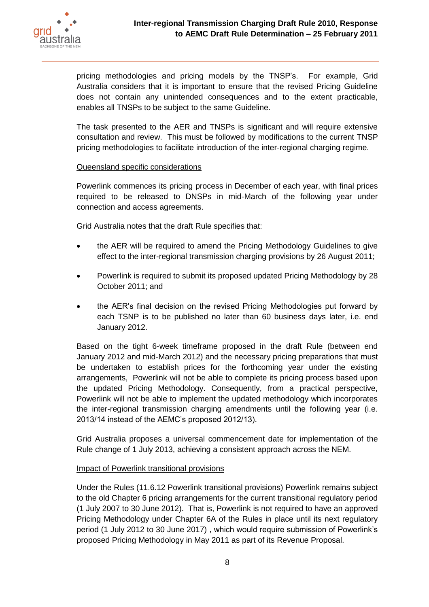

pricing methodologies and pricing models by the TNSP's. For example, Grid Australia considers that it is important to ensure that the revised Pricing Guideline does not contain any unintended consequences and to the extent practicable, enables all TNSPs to be subject to the same Guideline.

The task presented to the AER and TNSPs is significant and will require extensive consultation and review. This must be followed by modifications to the current TNSP pricing methodologies to facilitate introduction of the inter-regional charging regime.

### Queensland specific considerations

Powerlink commences its pricing process in December of each year, with final prices required to be released to DNSPs in mid-March of the following year under connection and access agreements.

Grid Australia notes that the draft Rule specifies that:

- the AER will be required to amend the Pricing Methodology Guidelines to give effect to the inter-regional transmission charging provisions by 26 August 2011;
- Powerlink is required to submit its proposed updated Pricing Methodology by 28 October 2011; and
- the AER's final decision on the revised Pricing Methodologies put forward by each TSNP is to be published no later than 60 business days later, i.e. end January 2012.

Based on the tight 6-week timeframe proposed in the draft Rule (between end January 2012 and mid-March 2012) and the necessary pricing preparations that must be undertaken to establish prices for the forthcoming year under the existing arrangements, Powerlink will not be able to complete its pricing process based upon the updated Pricing Methodology. Consequently, from a practical perspective, Powerlink will not be able to implement the updated methodology which incorporates the inter-regional transmission charging amendments until the following year (i.e. 2013/14 instead of the AEMC's proposed 2012/13).

Grid Australia proposes a universal commencement date for implementation of the Rule change of 1 July 2013, achieving a consistent approach across the NEM.

### Impact of Powerlink transitional provisions

Under the Rules (11.6.12 Powerlink transitional provisions) Powerlink remains subject to the old Chapter 6 pricing arrangements for the current transitional regulatory period (1 July 2007 to 30 June 2012). That is, Powerlink is not required to have an approved Pricing Methodology under Chapter 6A of the Rules in place until its next regulatory period (1 July 2012 to 30 June 2017) , which would require submission of Powerlink's proposed Pricing Methodology in May 2011 as part of its Revenue Proposal.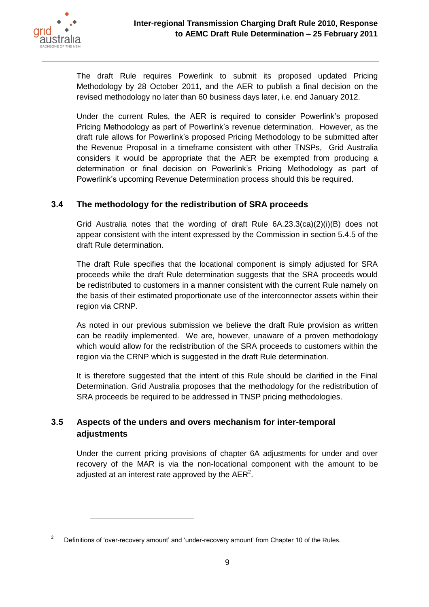

The draft Rule requires Powerlink to submit its proposed updated Pricing Methodology by 28 October 2011, and the AER to publish a final decision on the revised methodology no later than 60 business days later, i.e. end January 2012.

Under the current Rules, the AER is required to consider Powerlink's proposed Pricing Methodology as part of Powerlink's revenue determination. However, as the draft rule allows for Powerlink's proposed Pricing Methodology to be submitted after the Revenue Proposal in a timeframe consistent with other TNSPs, Grid Australia considers it would be appropriate that the AER be exempted from producing a determination or final decision on Powerlink's Pricing Methodology as part of Powerlink's upcoming Revenue Determination process should this be required.

# <span id="page-10-0"></span>**3.4 The methodology for the redistribution of SRA proceeds**

Grid Australia notes that the wording of draft Rule 6A.23.3(ca)(2)(i)(B) does not appear consistent with the intent expressed by the Commission in section 5.4.5 of the draft Rule determination.

The draft Rule specifies that the locational component is simply adjusted for SRA proceeds while the draft Rule determination suggests that the SRA proceeds would be redistributed to customers in a manner consistent with the current Rule namely on the basis of their estimated proportionate use of the interconnector assets within their region via CRNP.

As noted in our previous submission we believe the draft Rule provision as written can be readily implemented. We are, however, unaware of a proven methodology which would allow for the redistribution of the SRA proceeds to customers within the region via the CRNP which is suggested in the draft Rule determination.

It is therefore suggested that the intent of this Rule should be clarified in the Final Determination. Grid Australia proposes that the methodology for the redistribution of SRA proceeds be required to be addressed in TNSP pricing methodologies.

# <span id="page-10-1"></span>**3.5 Aspects of the unders and overs mechanism for inter-temporal adjustments**

Under the current pricing provisions of chapter 6A adjustments for under and over recovery of the MAR is via the non-locational component with the amount to be adjusted at an interest rate approved by the AER<sup>2</sup>.

 $2^2$  Definitions of 'over-recovery amount' and 'under-recovery amount' from Chapter 10 of the Rules.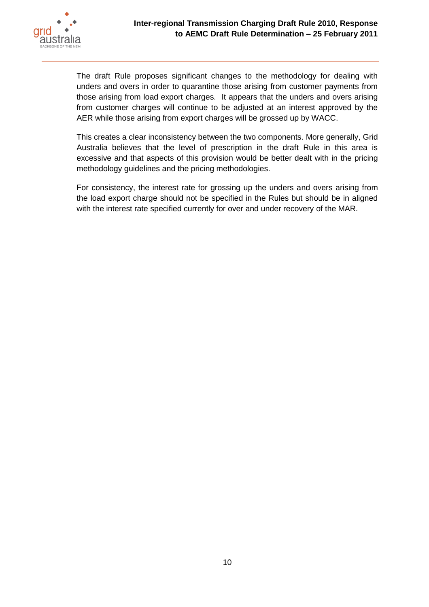

The draft Rule proposes significant changes to the methodology for dealing with unders and overs in order to quarantine those arising from customer payments from those arising from load export charges. It appears that the unders and overs arising from customer charges will continue to be adjusted at an interest approved by the AER while those arising from export charges will be grossed up by WACC.

This creates a clear inconsistency between the two components. More generally, Grid Australia believes that the level of prescription in the draft Rule in this area is excessive and that aspects of this provision would be better dealt with in the pricing methodology guidelines and the pricing methodologies.

For consistency, the interest rate for grossing up the unders and overs arising from the load export charge should not be specified in the Rules but should be in aligned with the interest rate specified currently for over and under recovery of the MAR.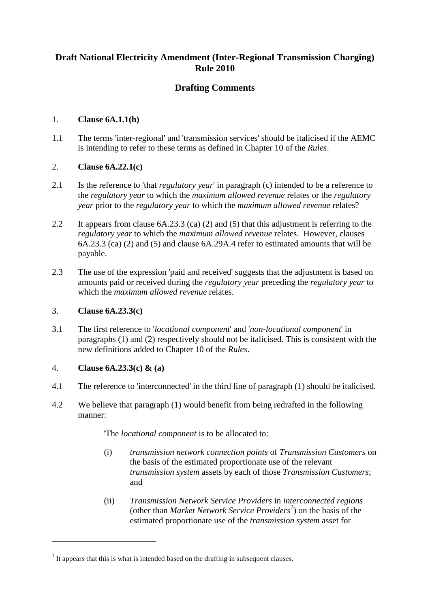# **Draft National Electricity Amendment (Inter-Regional Transmission Charging) Rule 2010**

# **Drafting Comments**

## 1. **Clause 6A.1.1(h)**

1.1 The terms 'inter-regional' and 'transmission services' should be italicised if the AEMC is intending to refer to these terms as defined in Chapter 10 of the *Rules*.

## 2. **Clause 6A.22.1(c)**

- 2.1 Is the reference to 'that *regulatory year*' in paragraph (c) intended to be a reference to the *regulatory year* to which the *maximum allowed revenue* relates or the *regulatory year* prior to the *regulatory year* to which the *maximum allowed revenue* relates?
- 2.2 It appears from clause 6A.23.3 (ca) (2) and (5) that this adjustment is referring to the *regulatory year* to which the *maximum allowed revenue* relates. However, clauses 6A.23.3 (ca) (2) and (5) and clause 6A.29A.4 refer to estimated amounts that will be payable.
- 2.3 The use of the expression 'paid and received' suggests that the adjustment is based on amounts paid or received during the *regulatory year* preceding the *regulatory year* to which the *maximum allowed revenue* relates.

### 3. **Clause 6A.23.3(c)**

3.1 The first reference to '*locational component*' and '*non-locational component*' in paragraphs (1) and (2) respectively should not be italicised. This is consistent with the new definitions added to Chapter 10 of the *Rules*.

# 4. **Clause 6A.23.3(c) & (a)**

1

- 4.1 The reference to 'interconnected' in the third line of paragraph (1) should be italicised.
- 4.2 We believe that paragraph (1) would benefit from being redrafted in the following manner:

'The *locational component* is to be allocated to:

- (i) *transmission network connection points* of *Transmission Customers* on the basis of the estimated proportionate use of the relevant *transmission system* assets by each of those *Transmission Customers*; and
- (ii) *Transmission Network Service Providers* in *interconnected regions* (other than *Market Network Service Providers<sup>1</sup>* ) on the basis of the estimated proportionate use of the *transmission system* asset for

 $<sup>1</sup>$  It appears that this is what is intended based on the drafting in subsequent clauses.</sup>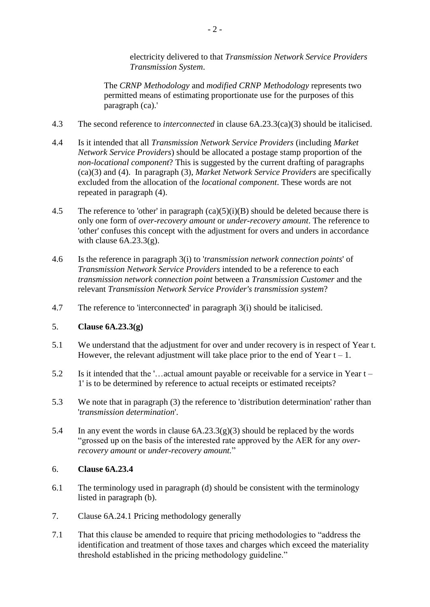electricity delivered to that *Transmission Network Service Providers Transmission System*.

The *CRNP Methodology* and *modified CRNP Methodology* represents two permitted means of estimating proportionate use for the purposes of this paragraph (ca).'

- 4.3 The second reference to *interconnected* in clause 6A.23.3(ca)(3) should be italicised.
- 4.4 Is it intended that all *Transmission Network Service Providers* (including *Market Network Service Providers*) should be allocated a postage stamp proportion of the *non-locational component*? This is suggested by the current drafting of paragraphs (ca)(3) and (4). In paragraph (3), *Market Network Service Providers* are specifically excluded from the allocation of the *locational component*. These words are not repeated in paragraph (4).
- 4.5 The reference to 'other' in paragraph  $(ca)(5)(i)(B)$  should be deleted because there is only one form of *over-recovery amount* or *under-recovery amount*. The reference to 'other' confuses this concept with the adjustment for overs and unders in accordance with clause  $6A.23.3(g)$ .
- 4.6 Is the reference in paragraph 3(i) to '*transmission network connection points*' of *Transmission Network Service Providers* intended to be a reference to each *transmission network connection point* between a *Transmission Customer* and the relevant *Transmission Network Service Provider's transmission system*?
- 4.7 The reference to 'interconnected' in paragraph 3(i) should be italicised.

# 5. **Clause 6A.23.3(g)**

- 5.1 We understand that the adjustment for over and under recovery is in respect of Year t. However, the relevant adjustment will take place prior to the end of Year  $t - 1$ .
- 5.2 Is it intended that the '…actual amount payable or receivable for a service in Year t 1' is to be determined by reference to actual receipts or estimated receipts?
- 5.3 We note that in paragraph (3) the reference to 'distribution determination' rather than '*transmission determination*'.
- 5.4 In any event the words in clause  $6A.23.3(g)(3)$  should be replaced by the words "grossed up on the basis of the interested rate approved by the AER for any *overrecovery amount* or *under-recovery amount.*"

### 6. **Clause 6A.23.4**

- 6.1 The terminology used in paragraph (d) should be consistent with the terminology listed in paragraph (b).
- 7. Clause 6A.24.1 Pricing methodology generally
- 7.1 That this clause be amended to require that pricing methodologies to "address the identification and treatment of those taxes and charges which exceed the materiality threshold established in the pricing methodology guideline."